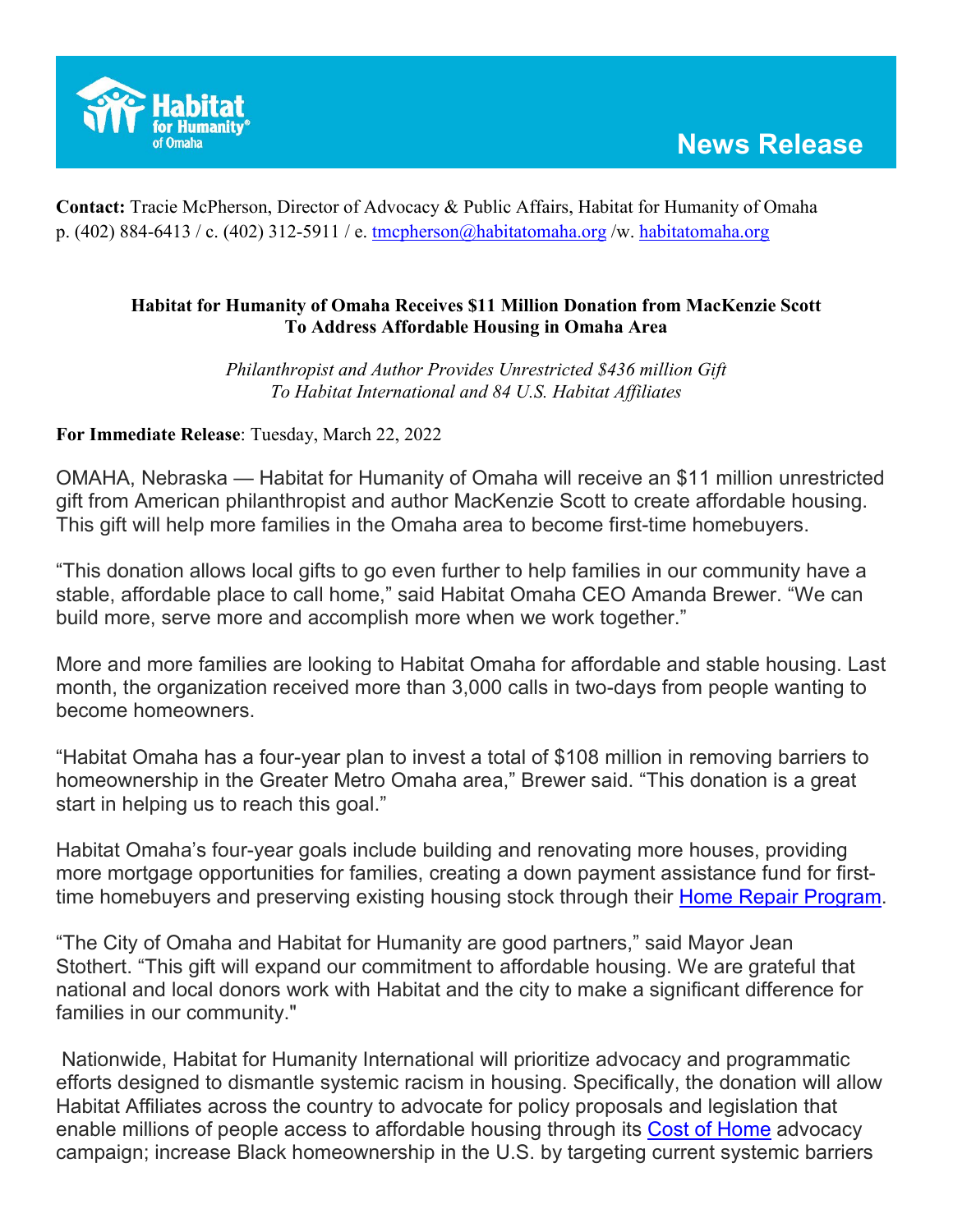

**Contact:** Tracie McPherson, Director of Advocacy & Public Affairs, Habitat for Humanity of Omaha p. (402) 884-6413 / c. (402) 312-5911 / e. [tmcpherson@habitatomaha.org](mailto:tmcpherson@habitatomaha.org) /w. [habitatomaha.org](http://www.habitatomaha.org/)

## **Habitat for Humanity of Omaha Receives \$11 Million Donation from MacKenzie Scott To Address Affordable Housing in Omaha Area**

*Philanthropist and Author Provides Unrestricted \$436 million Gift To Habitat International and 84 U.S. Habitat Affiliates*

**For Immediate Release**: Tuesday, March 22, 2022

OMAHA, Nebraska — Habitat for Humanity of Omaha will receive an \$11 million unrestricted gift from American philanthropist and author MacKenzie Scott to create affordable housing. This gift will help more families in the Omaha area to become first-time homebuyers.

"This donation allows local gifts to go even further to help families in our community have a stable, affordable place to call home," said Habitat Omaha CEO Amanda Brewer. "We can build more, serve more and accomplish more when we work together."

More and more families are looking to Habitat Omaha for affordable and stable housing. Last month, the organization received more than 3,000 calls in two-days from people wanting to become homeowners.

"Habitat Omaha has a four-year plan to invest a total of \$108 million in removing barriers to homeownership in the Greater Metro Omaha area," Brewer said. "This donation is a great start in helping us to reach this goal."

Habitat Omaha's four-year goals include building and renovating more houses, providing more mortgage opportunities for families, creating a down payment assistance fund for first-time homebuyers and preserving existing housing stock through their [Home Repair Program.](https://habitatomaha.org/programs/home-repair/)

"The City of Omaha and Habitat for Humanity are good partners," said Mayor Jean Stothert. "This gift will expand our commitment to affordable housing. We are grateful that national and local donors work with Habitat and the city to make a significant difference for families in our community."

Nationwide, Habitat for Humanity International will prioritize advocacy and programmatic efforts designed to dismantle systemic racism in housing. Specifically, the donation will allow Habitat Affiliates across the country to advocate for policy proposals and legislation that enable millions of people access to affordable housing through its [Cost of Home](https://www.habitat.org/costofhome) advocacy campaign; increase Black homeownership in the U.S. by targeting current systemic barriers